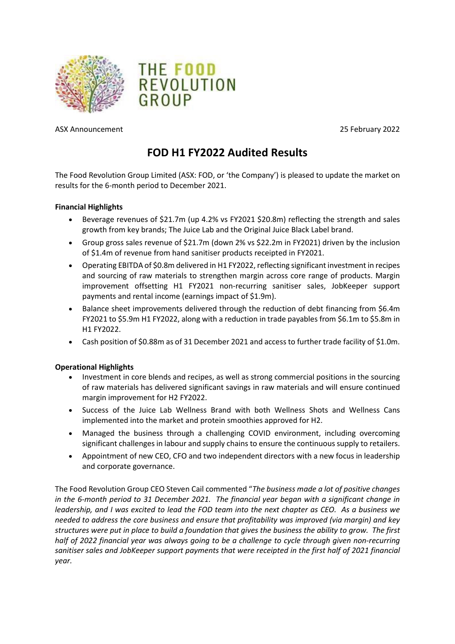



ASX Announcement 25 February 2022

# **FOD H1 FY2022 Audited Results**

The Food Revolution Group Limited (ASX: FOD, or 'the Company') is pleased to update the market on results for the 6-month period to December 2021.

# **Financial Highlights**

- Beverage revenues of \$21.7m (up 4.2% vs FY2021 \$20.8m) reflecting the strength and sales growth from key brands; The Juice Lab and the Original Juice Black Label brand.
- Group gross sales revenue of \$21.7m (down 2% vs \$22.2m in FY2021) driven by the inclusion of \$1.4m of revenue from hand sanitiser products receipted in FY2021.
- Operating EBITDA of \$0.8m delivered in H1 FY2022, reflecting significant investment in recipes and sourcing of raw materials to strengthen margin across core range of products. Margin improvement offsetting H1 FY2021 non-recurring sanitiser sales, JobKeeper support payments and rental income (earnings impact of \$1.9m).
- Balance sheet improvements delivered through the reduction of debt financing from \$6.4m FY2021 to \$5.9m H1 FY2022, along with a reduction in trade payables from \$6.1m to \$5.8m in H1 FY2022.
- Cash position of \$0.88m as of 31 December 2021 and access to further trade facility of \$1.0m.

#### **Operational Highlights**

- Investment in core blends and recipes, as well as strong commercial positions in the sourcing of raw materials has delivered significant savings in raw materials and will ensure continued margin improvement for H2 FY2022.
- Success of the Juice Lab Wellness Brand with both Wellness Shots and Wellness Cans implemented into the market and protein smoothies approved for H2.
- Managed the business through a challenging COVID environment, including overcoming significant challenges in labour and supply chains to ensure the continuous supply to retailers.
- Appointment of new CEO, CFO and two independent directors with a new focus in leadership and corporate governance.

The Food Revolution Group CEO Steven Cail commented "*The business made a lot of positive changes in the 6-month period to 31 December 2021. The financial year began with a significant change in leadership, and I was excited to lead the FOD team into the next chapter as CEO. As a business we needed to address the core business and ensure that profitability was improved (via margin) and key structures were put in place to build a foundation that gives the business the ability to grow. The first half of 2022 financial year was always going to be a challenge to cycle through given non-recurring sanitiser sales and JobKeeper support payments that were receipted in the first half of 2021 financial year.*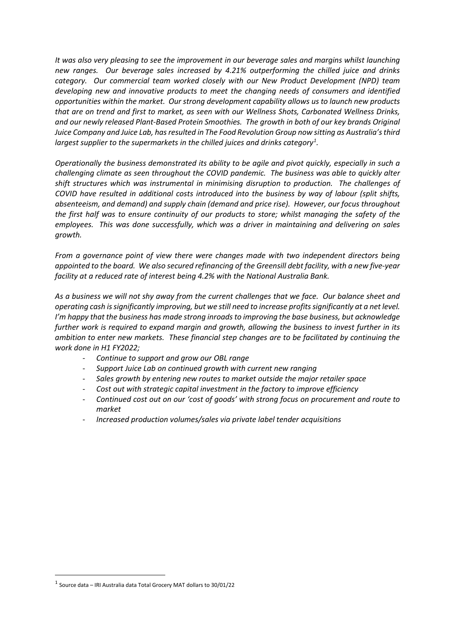*It was also very pleasing to see the improvement in our beverage sales and margins whilst launching new ranges. Our beverage sales increased by 4.21% outperforming the chilled juice and drinks category. Our commercial team worked closely with our New Product Development (NPD) team developing new and innovative products to meet the changing needs of consumers and identified opportunities within the market. Our strong development capability allows us to launch new products that are on trend and first to market, as seen with our Wellness Shots, Carbonated Wellness Drinks, and our newly released Plant-Based Protein Smoothies. The growth in both of our key brands Original Juice Company and Juice Lab, has resulted in The Food Revolution Group now sitting as Australia'sthird largest supplier to the supermarkets in the chilled juices and drinks category[1](#page-1-0) .*

*Operationally the business demonstrated its ability to be agile and pivot quickly, especially in such a challenging climate as seen throughout the COVID pandemic. The business was able to quickly alter shift structures which was instrumental in minimising disruption to production. The challenges of COVID have resulted in additional costs introduced into the business by way of labour (split shifts, absenteeism, and demand) and supply chain (demand and price rise). However, our focus throughout the first half was to ensure continuity of our products to store; whilst managing the safety of the employees. This was done successfully, which was a driver in maintaining and delivering on sales growth.*

*From a governance point of view there were changes made with two independent directors being appointed to the board. We also secured refinancing of the Greensill debt facility, with a new five-year facility at a reduced rate of interest being 4.2% with the National Australia Bank.*

*As a business we will not shy away from the current challenges that we face. Our balance sheet and operating cash is significantly improving, but we still need to increase profitssignificantly at a net level. I'm happy that the business has made strong inroads to improving the base business, but acknowledge further work is required to expand margin and growth, allowing the business to invest further in its ambition to enter new markets. These financial step changes are to be facilitated by continuing the work done in H1 FY2022;*

- *Continue to support and grow our OBL range*
- *Support Juice Lab on continued growth with current new ranging*
- *Sales growth by entering new routes to market outside the major retailer space*
- *Cost out with strategic capital investment in the factory to improve efficiency*
- *Continued cost out on our 'cost of goods' with strong focus on procurement and route to market*
- *Increased production volumes/sales via private label tender acquisitions*

<span id="page-1-0"></span> $1$  Source data – IRI Australia data Total Grocery MAT dollars to 30/01/22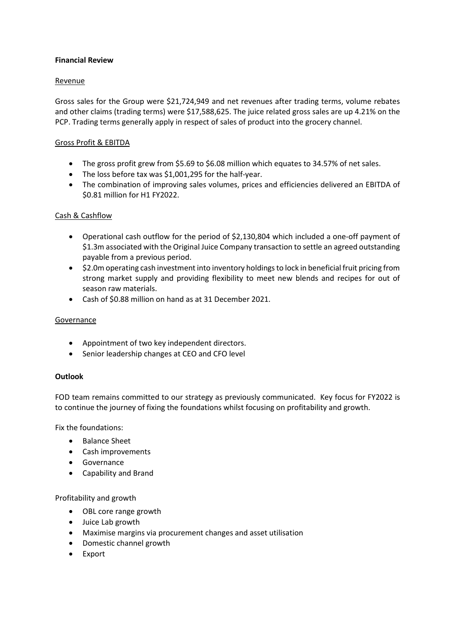## **Financial Review**

# Revenue

Gross sales for the Group were \$21,724,949 and net revenues after trading terms, volume rebates and other claims (trading terms) were \$17,588,625. The juice related gross sales are up 4.21% on the PCP. Trading terms generally apply in respect of sales of product into the grocery channel.

# Gross Profit & EBITDA

- The gross profit grew from \$5.69 to \$6.08 million which equates to 34.57% of net sales.
- The loss before tax was \$1,001,295 for the half-year.
- The combination of improving sales volumes, prices and efficiencies delivered an EBITDA of \$0.81 million for H1 FY2022.

# Cash & Cashflow

- Operational cash outflow for the period of \$2,130,804 which included a one-off payment of \$1.3m associated with the Original Juice Company transaction to settle an agreed outstanding payable from a previous period.
- \$2.0m operating cash investment into inventory holdings to lock in beneficial fruit pricing from strong market supply and providing flexibility to meet new blends and recipes for out of season raw materials.
- Cash of \$0.88 million on hand as at 31 December 2021.

## Governance

- Appointment of two key independent directors.
- Senior leadership changes at CEO and CFO level

#### **Outlook**

FOD team remains committed to our strategy as previously communicated. Key focus for FY2022 is to continue the journey of fixing the foundations whilst focusing on profitability and growth.

Fix the foundations:

- Balance Sheet
- Cash improvements
- Governance
- Capability and Brand

Profitability and growth

- OBL core range growth
- Juice Lab growth
- Maximise margins via procurement changes and asset utilisation
- Domestic channel growth
- Export